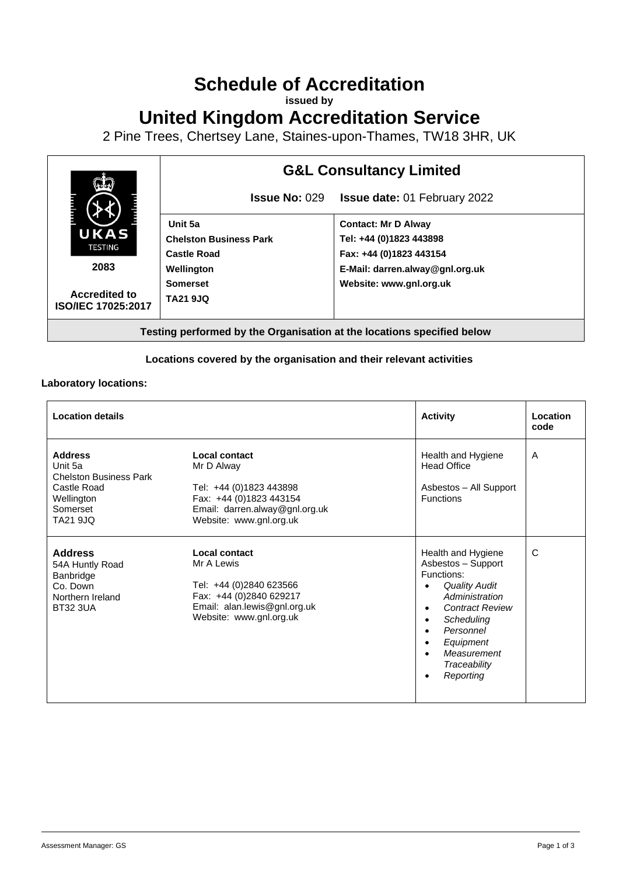# **Schedule of Accreditation**

**issued by**

**United Kingdom Accreditation Service**

2 Pine Trees, Chertsey Lane, Staines-upon-Thames, TW18 3HR, UK



## **Locations covered by the organisation and their relevant activities**

#### **Laboratory locations:**

| <b>Location details</b>                                                                                                |                                                                                                                                                | <b>Activity</b>                                                                                                                                                                                                                                                    | Location<br>code |
|------------------------------------------------------------------------------------------------------------------------|------------------------------------------------------------------------------------------------------------------------------------------------|--------------------------------------------------------------------------------------------------------------------------------------------------------------------------------------------------------------------------------------------------------------------|------------------|
| <b>Address</b><br>Unit 5a<br><b>Chelston Business Park</b><br>Castle Road<br>Wellington<br>Somerset<br><b>TA21 9JQ</b> | Local contact<br>Mr D Alway<br>Tel: +44 (0)1823 443898<br>Fax: +44 (0)1823 443154<br>Email: darren.alway@gnl.org.uk<br>Website: www.gnl.org.uk | Health and Hygiene<br><b>Head Office</b><br>Asbestos - All Support<br><b>Functions</b>                                                                                                                                                                             | A                |
| <b>Address</b><br>54A Huntly Road<br>Banbridge<br>Co. Down<br>Northern Ireland<br><b>BT32 3UA</b>                      | Local contact<br>Mr A Lewis<br>Tel: +44 (0)2840 623566<br>Fax: +44 (0)2840 629217<br>Email: alan.lewis@gnl.org.uk<br>Website: www.gnl.org.uk   | Health and Hygiene<br>Asbestos - Support<br>Functions:<br><b>Quality Audit</b><br>$\bullet$<br>Administration<br><b>Contract Review</b><br>$\bullet$<br>Scheduling<br>$\bullet$<br>Personnel<br>$\bullet$<br>Equipment<br>Measurement<br>Traceability<br>Reporting | C                |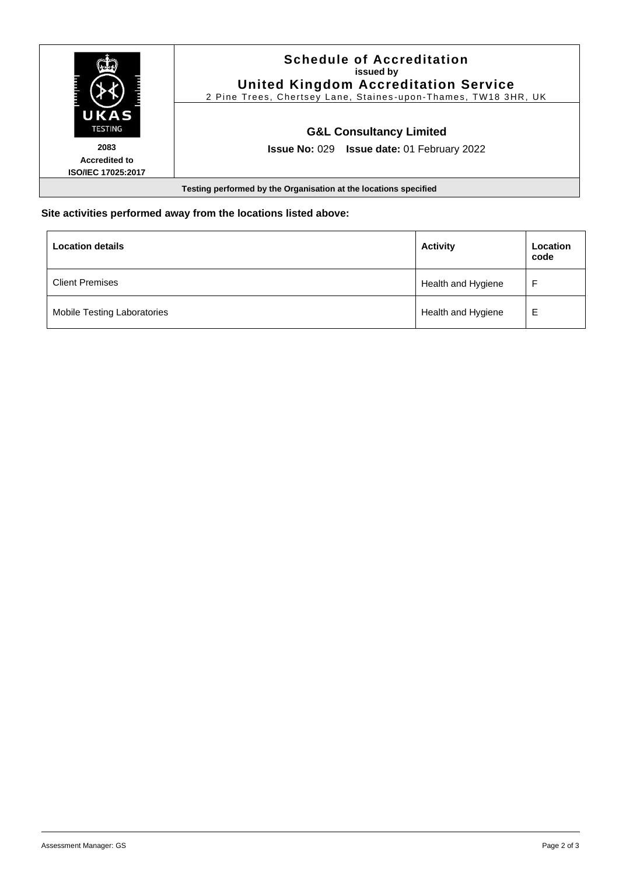

#### **Site activities performed away from the locations listed above:**

| <b>Location details</b>     | <b>Activity</b>    | Location<br>code |
|-----------------------------|--------------------|------------------|
| <b>Client Premises</b>      | Health and Hygiene |                  |
| Mobile Testing Laboratories | Health and Hygiene | Е                |